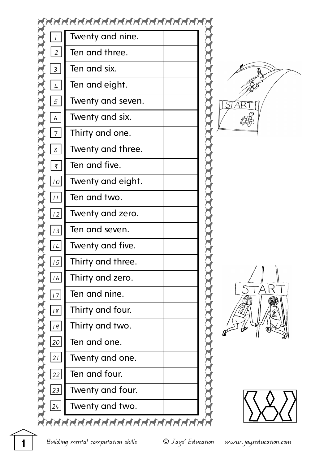







**1** Building mental computation skills © Jays' Education www.jayseducation.com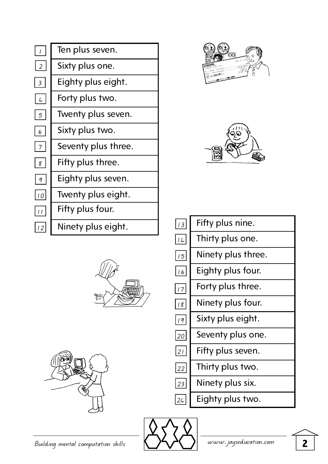|                  | Ten plus seven.     |  |
|------------------|---------------------|--|
| $\overline{2}$   | Sixty plus one.     |  |
| $\overline{3}$   | Eighty plus eight.  |  |
| $\frac{1}{2}$    | Forty plus two.     |  |
| $5\overline{)}$  | Twenty plus seven.  |  |
| $\boldsymbol{6}$ | Sixty plus two.     |  |
| $\overline{7}$   | Seventy plus three. |  |
| $\emph{g}$       | Fifty plus three.   |  |
| q                | Eighty plus seven.  |  |
| 10               | Twenty plus eight.  |  |
| $\frac{1}{2}$    | Fifty plus four.    |  |
| 12               | Ninety plus eight.  |  |
|                  |                     |  |











| 13           | Fifty plus nine.   |
|--------------|--------------------|
| 14           | Thirty plus one.   |
| 15           | Ninety plus three. |
| 16           | Eighty plus four.  |
| $\boxed{17}$ | Forty plus three.  |
| 18           | Ninety plus four.  |
| q            | Sixty plus eight.  |
| 20           | Seventy plus one.  |
| 2            | Fifty plus seven.  |
| 22           | Thirty plus two.   |
| 23           | Ninety plus six.   |

 $\overline{24}$ Eighty plus two.

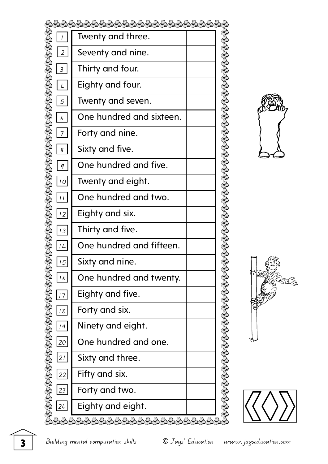